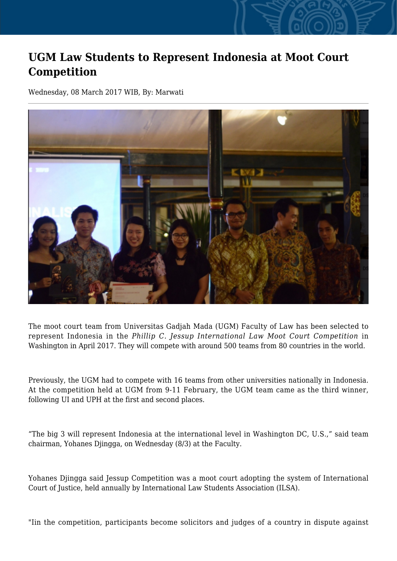## **UGM Law Students to Represent Indonesia at Moot Court Competition**

Wednesday, 08 March 2017 WIB, By: Marwati



The moot court team from Universitas Gadjah Mada (UGM) Faculty of Law has been selected to represent Indonesia in the *Phillip C. Jessup International Law Moot Court Competition* in Washington in April 2017. They will compete with around 500 teams from 80 countries in the world.

Previously, the UGM had to compete with 16 teams from other universities nationally in Indonesia. At the competition held at UGM from 9-11 February, the UGM team came as the third winner, following UI and UPH at the first and second places.

"The big 3 will represent Indonesia at the international level in Washington DC, U.S.," said team chairman, Yohanes Djingga, on Wednesday (8/3) at the Faculty.

Yohanes Djingga said Jessup Competition was a moot court adopting the system of International Court of Justice, held annually by International Law Students Association (ILSA).

"Iin the competition, participants become solicitors and judges of a country in dispute against